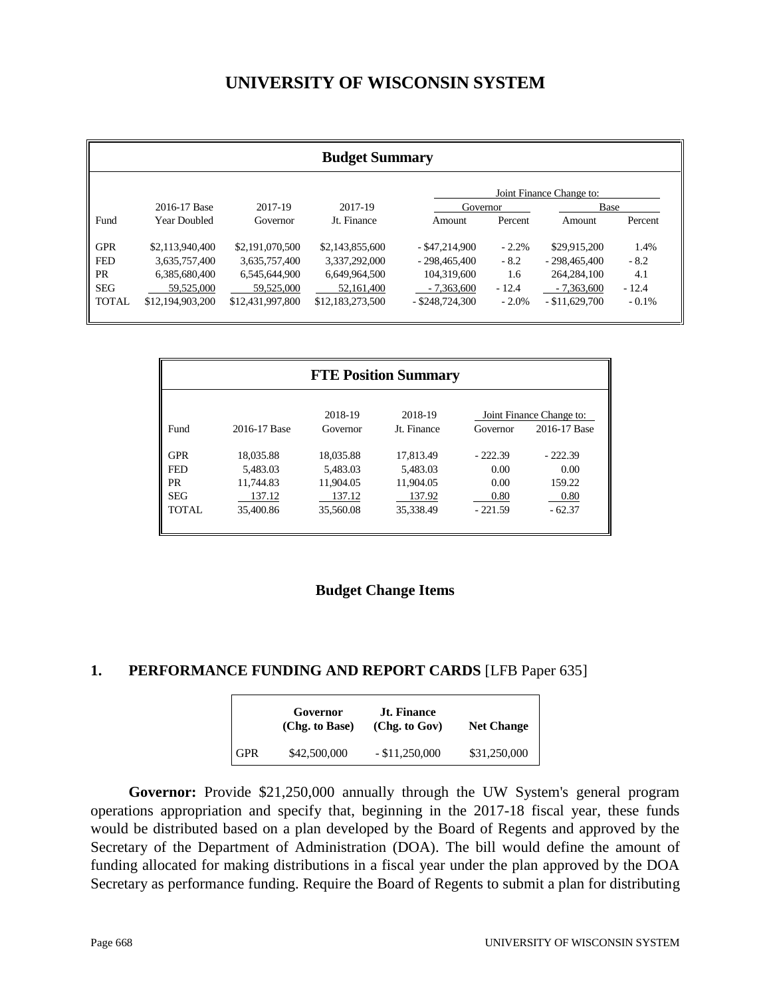# **UNIVERSITY OF WISCONSIN SYSTEM**

| <b>Budget Summary</b> |                          |                  |                  |                   |          |                  |          |
|-----------------------|--------------------------|------------------|------------------|-------------------|----------|------------------|----------|
|                       | Joint Finance Change to: |                  |                  |                   |          |                  |          |
|                       | 2016-17 Base             | 2017-19          | 2017-19          | Governor          |          | <b>Base</b>      |          |
| Fund                  | Year Doubled             | Governor         | Jt. Finance      | Amount            | Percent  | Amount           | Percent  |
| <b>GPR</b>            | \$2,113,940,400          | \$2,191,070,500  | \$2,143,855,600  | $-$ \$47,214,900  | $-2.2%$  | \$29,915,200     | 1.4%     |
| <b>FED</b>            | 3,635,757,400            | 3,635,757,400    | 3,337,292,000    | $-298.465.400$    | $-8.2$   | $-298,465,400$   | $-8.2$   |
| PR                    | 6,385,680,400            | 6,545,644,900    | 6,649,964,500    | 104.319.600       | 1.6      | 264, 284, 100    | 4.1      |
| <b>SEG</b>            | 59,525,000               | 59,525,000       | 52,161,400       | $-7.363,600$      | $-12.4$  | $-7.363,600$     | $-12.4$  |
| <b>TOTAL</b>          | \$12,194,903,200         | \$12,431,997,800 | \$12,183,273,500 | $-$ \$248,724,300 | $-2.0\%$ | $-$ \$11,629,700 | $-0.1\%$ |

| <b>FTE Position Summary</b>      |                                  |                                  |                                  |                           |                                          |
|----------------------------------|----------------------------------|----------------------------------|----------------------------------|---------------------------|------------------------------------------|
| Fund                             | 2016-17 Base                     | 2018-19<br>Governor              | 2018-19<br>Jt. Finance           | Governor                  | Joint Finance Change to:<br>2016-17 Base |
| <b>GPR</b><br><b>FED</b>         | 18,035.88<br>5.483.03            | 18.035.88<br>5.483.03            | 17.813.49<br>5,483.03            | $-222.39$<br>0.00         | $-222.39$<br>0.00                        |
| <b>PR</b><br><b>SEG</b><br>TOTAL | 11.744.83<br>137.12<br>35,400.86 | 11.904.05<br>137.12<br>35,560.08 | 11.904.05<br>137.92<br>35,338.49 | 0.00<br>0.80<br>$-221.59$ | 159.22<br>0.80<br>$-62.37$               |
|                                  |                                  |                                  |                                  |                           |                                          |

#### **Budget Change Items**

#### **1. PERFORMANCE FUNDING AND REPORT CARDS** [LFB Paper 635]

|            | Governor<br>(Chg. to Base) | <b>Jt. Finance</b><br>(Chg. to Gov) | <b>Net Change</b> |
|------------|----------------------------|-------------------------------------|-------------------|
| <b>GPR</b> | \$42,500,000               | $-$ \$11,250,000                    | \$31,250,000      |

**Governor:** Provide \$21,250,000 annually through the UW System's general program operations appropriation and specify that, beginning in the 2017-18 fiscal year, these funds would be distributed based on a plan developed by the Board of Regents and approved by the Secretary of the Department of Administration (DOA). The bill would define the amount of funding allocated for making distributions in a fiscal year under the plan approved by the DOA Secretary as performance funding. Require the Board of Regents to submit a plan for distributing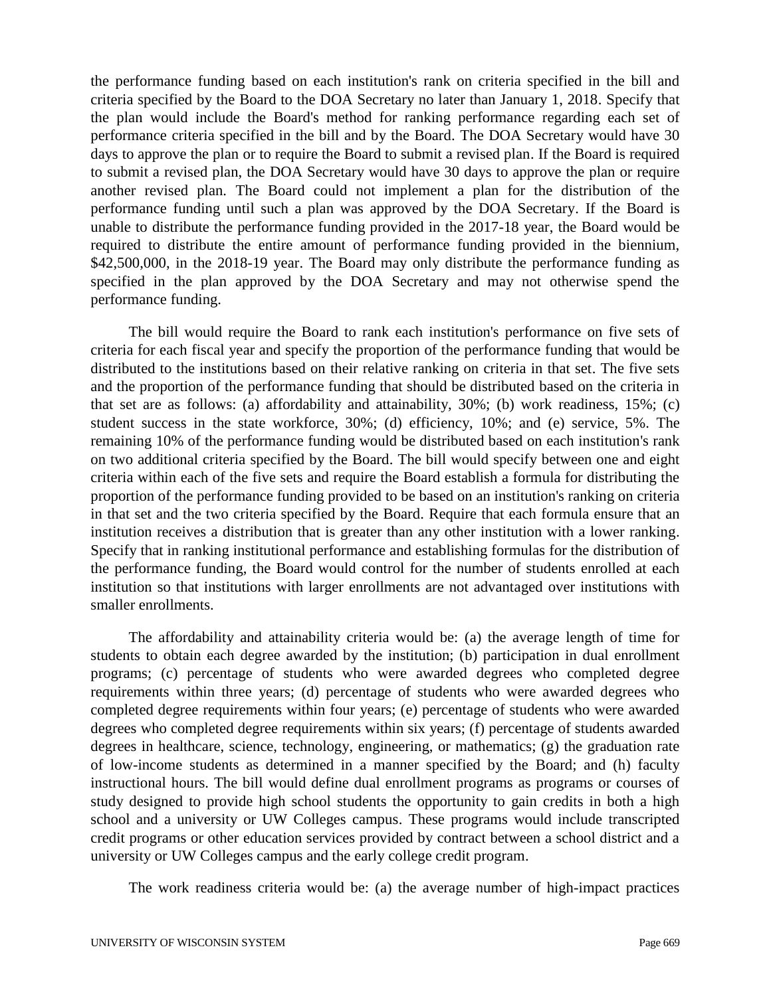the performance funding based on each institution's rank on criteria specified in the bill and criteria specified by the Board to the DOA Secretary no later than January 1, 2018. Specify that the plan would include the Board's method for ranking performance regarding each set of performance criteria specified in the bill and by the Board. The DOA Secretary would have 30 days to approve the plan or to require the Board to submit a revised plan. If the Board is required to submit a revised plan, the DOA Secretary would have 30 days to approve the plan or require another revised plan. The Board could not implement a plan for the distribution of the performance funding until such a plan was approved by the DOA Secretary. If the Board is unable to distribute the performance funding provided in the 2017-18 year, the Board would be required to distribute the entire amount of performance funding provided in the biennium, \$42,500,000, in the 2018-19 year. The Board may only distribute the performance funding as specified in the plan approved by the DOA Secretary and may not otherwise spend the performance funding.

The bill would require the Board to rank each institution's performance on five sets of criteria for each fiscal year and specify the proportion of the performance funding that would be distributed to the institutions based on their relative ranking on criteria in that set. The five sets and the proportion of the performance funding that should be distributed based on the criteria in that set are as follows: (a) affordability and attainability, 30%; (b) work readiness, 15%; (c) student success in the state workforce, 30%; (d) efficiency, 10%; and (e) service, 5%. The remaining 10% of the performance funding would be distributed based on each institution's rank on two additional criteria specified by the Board. The bill would specify between one and eight criteria within each of the five sets and require the Board establish a formula for distributing the proportion of the performance funding provided to be based on an institution's ranking on criteria in that set and the two criteria specified by the Board. Require that each formula ensure that an institution receives a distribution that is greater than any other institution with a lower ranking. Specify that in ranking institutional performance and establishing formulas for the distribution of the performance funding, the Board would control for the number of students enrolled at each institution so that institutions with larger enrollments are not advantaged over institutions with smaller enrollments.

The affordability and attainability criteria would be: (a) the average length of time for students to obtain each degree awarded by the institution; (b) participation in dual enrollment programs; (c) percentage of students who were awarded degrees who completed degree requirements within three years; (d) percentage of students who were awarded degrees who completed degree requirements within four years; (e) percentage of students who were awarded degrees who completed degree requirements within six years; (f) percentage of students awarded degrees in healthcare, science, technology, engineering, or mathematics; (g) the graduation rate of low-income students as determined in a manner specified by the Board; and (h) faculty instructional hours. The bill would define dual enrollment programs as programs or courses of study designed to provide high school students the opportunity to gain credits in both a high school and a university or UW Colleges campus. These programs would include transcripted credit programs or other education services provided by contract between a school district and a university or UW Colleges campus and the early college credit program.

The work readiness criteria would be: (a) the average number of high-impact practices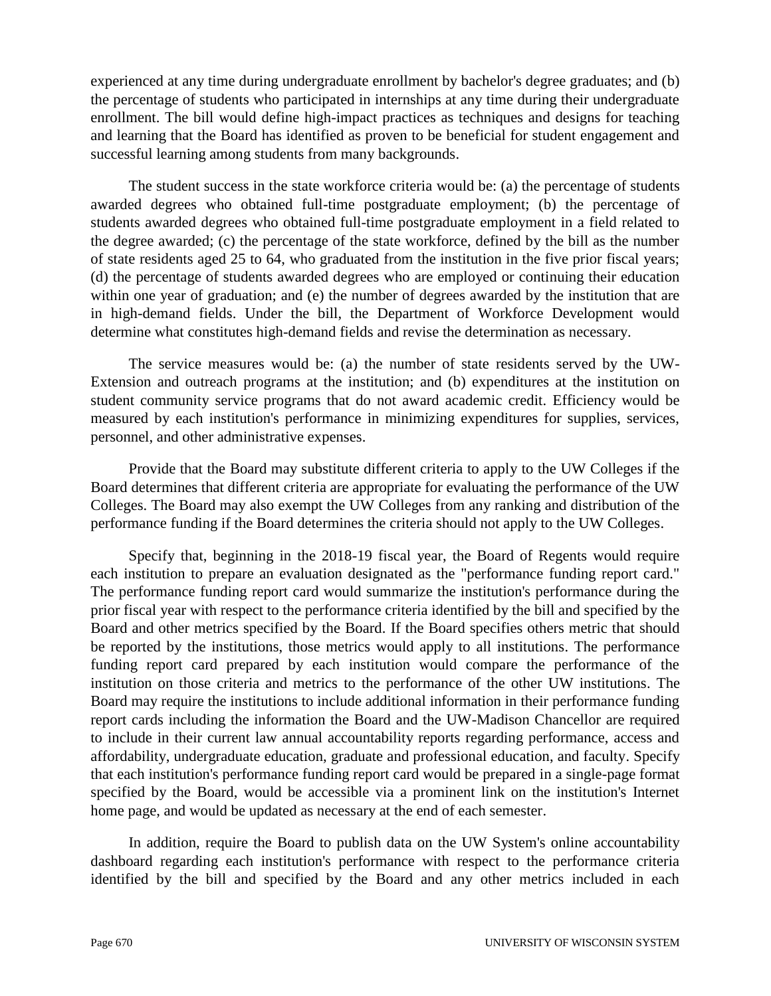experienced at any time during undergraduate enrollment by bachelor's degree graduates; and (b) the percentage of students who participated in internships at any time during their undergraduate enrollment. The bill would define high-impact practices as techniques and designs for teaching and learning that the Board has identified as proven to be beneficial for student engagement and successful learning among students from many backgrounds.

The student success in the state workforce criteria would be: (a) the percentage of students awarded degrees who obtained full-time postgraduate employment; (b) the percentage of students awarded degrees who obtained full-time postgraduate employment in a field related to the degree awarded; (c) the percentage of the state workforce, defined by the bill as the number of state residents aged 25 to 64, who graduated from the institution in the five prior fiscal years; (d) the percentage of students awarded degrees who are employed or continuing their education within one year of graduation; and (e) the number of degrees awarded by the institution that are in high-demand fields. Under the bill, the Department of Workforce Development would determine what constitutes high-demand fields and revise the determination as necessary.

The service measures would be: (a) the number of state residents served by the UW-Extension and outreach programs at the institution; and (b) expenditures at the institution on student community service programs that do not award academic credit. Efficiency would be measured by each institution's performance in minimizing expenditures for supplies, services, personnel, and other administrative expenses.

Provide that the Board may substitute different criteria to apply to the UW Colleges if the Board determines that different criteria are appropriate for evaluating the performance of the UW Colleges. The Board may also exempt the UW Colleges from any ranking and distribution of the performance funding if the Board determines the criteria should not apply to the UW Colleges.

Specify that, beginning in the 2018-19 fiscal year, the Board of Regents would require each institution to prepare an evaluation designated as the "performance funding report card." The performance funding report card would summarize the institution's performance during the prior fiscal year with respect to the performance criteria identified by the bill and specified by the Board and other metrics specified by the Board. If the Board specifies others metric that should be reported by the institutions, those metrics would apply to all institutions. The performance funding report card prepared by each institution would compare the performance of the institution on those criteria and metrics to the performance of the other UW institutions. The Board may require the institutions to include additional information in their performance funding report cards including the information the Board and the UW-Madison Chancellor are required to include in their current law annual accountability reports regarding performance, access and affordability, undergraduate education, graduate and professional education, and faculty. Specify that each institution's performance funding report card would be prepared in a single-page format specified by the Board, would be accessible via a prominent link on the institution's Internet home page, and would be updated as necessary at the end of each semester.

In addition, require the Board to publish data on the UW System's online accountability dashboard regarding each institution's performance with respect to the performance criteria identified by the bill and specified by the Board and any other metrics included in each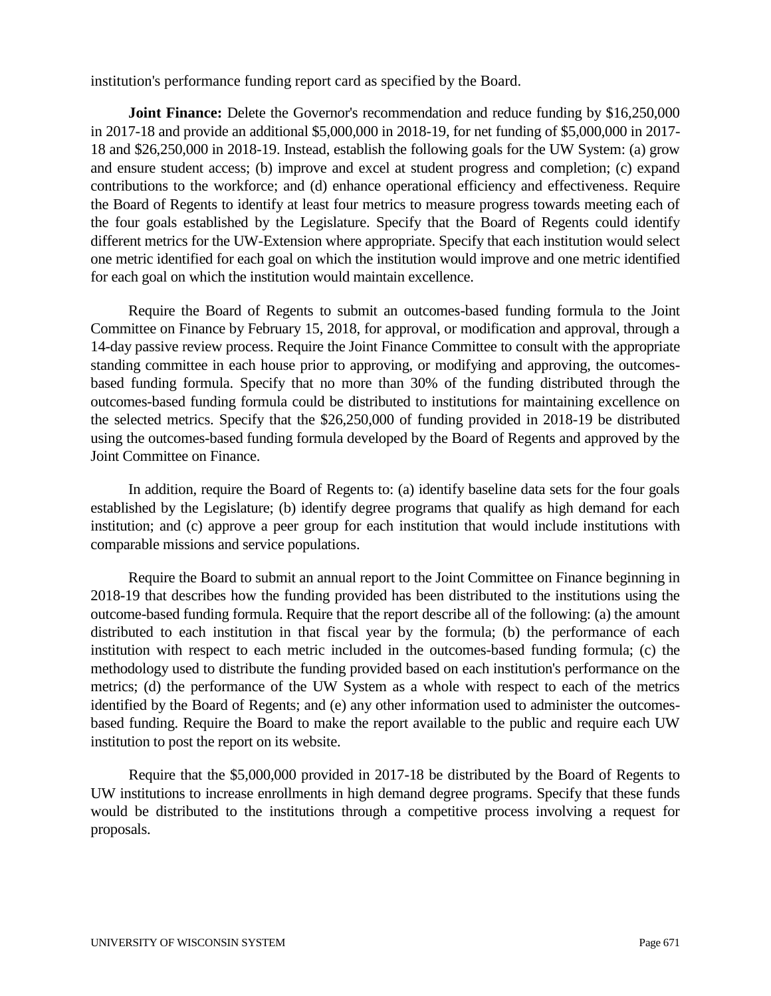institution's performance funding report card as specified by the Board.

**Joint Finance:** Delete the Governor's recommendation and reduce funding by \$16,250,000 in 2017-18 and provide an additional \$5,000,000 in 2018-19, for net funding of \$5,000,000 in 2017- 18 and \$26,250,000 in 2018-19. Instead, establish the following goals for the UW System: (a) grow and ensure student access; (b) improve and excel at student progress and completion; (c) expand contributions to the workforce; and (d) enhance operational efficiency and effectiveness. Require the Board of Regents to identify at least four metrics to measure progress towards meeting each of the four goals established by the Legislature. Specify that the Board of Regents could identify different metrics for the UW-Extension where appropriate. Specify that each institution would select one metric identified for each goal on which the institution would improve and one metric identified for each goal on which the institution would maintain excellence.

Require the Board of Regents to submit an outcomes-based funding formula to the Joint Committee on Finance by February 15, 2018, for approval, or modification and approval, through a 14-day passive review process. Require the Joint Finance Committee to consult with the appropriate standing committee in each house prior to approving, or modifying and approving, the outcomesbased funding formula. Specify that no more than 30% of the funding distributed through the outcomes-based funding formula could be distributed to institutions for maintaining excellence on the selected metrics. Specify that the \$26,250,000 of funding provided in 2018-19 be distributed using the outcomes-based funding formula developed by the Board of Regents and approved by the Joint Committee on Finance.

In addition, require the Board of Regents to: (a) identify baseline data sets for the four goals established by the Legislature; (b) identify degree programs that qualify as high demand for each institution; and (c) approve a peer group for each institution that would include institutions with comparable missions and service populations.

Require the Board to submit an annual report to the Joint Committee on Finance beginning in 2018-19 that describes how the funding provided has been distributed to the institutions using the outcome-based funding formula. Require that the report describe all of the following: (a) the amount distributed to each institution in that fiscal year by the formula; (b) the performance of each institution with respect to each metric included in the outcomes-based funding formula; (c) the methodology used to distribute the funding provided based on each institution's performance on the metrics; (d) the performance of the UW System as a whole with respect to each of the metrics identified by the Board of Regents; and (e) any other information used to administer the outcomesbased funding. Require the Board to make the report available to the public and require each UW institution to post the report on its website.

Require that the \$5,000,000 provided in 2017-18 be distributed by the Board of Regents to UW institutions to increase enrollments in high demand degree programs. Specify that these funds would be distributed to the institutions through a competitive process involving a request for proposals.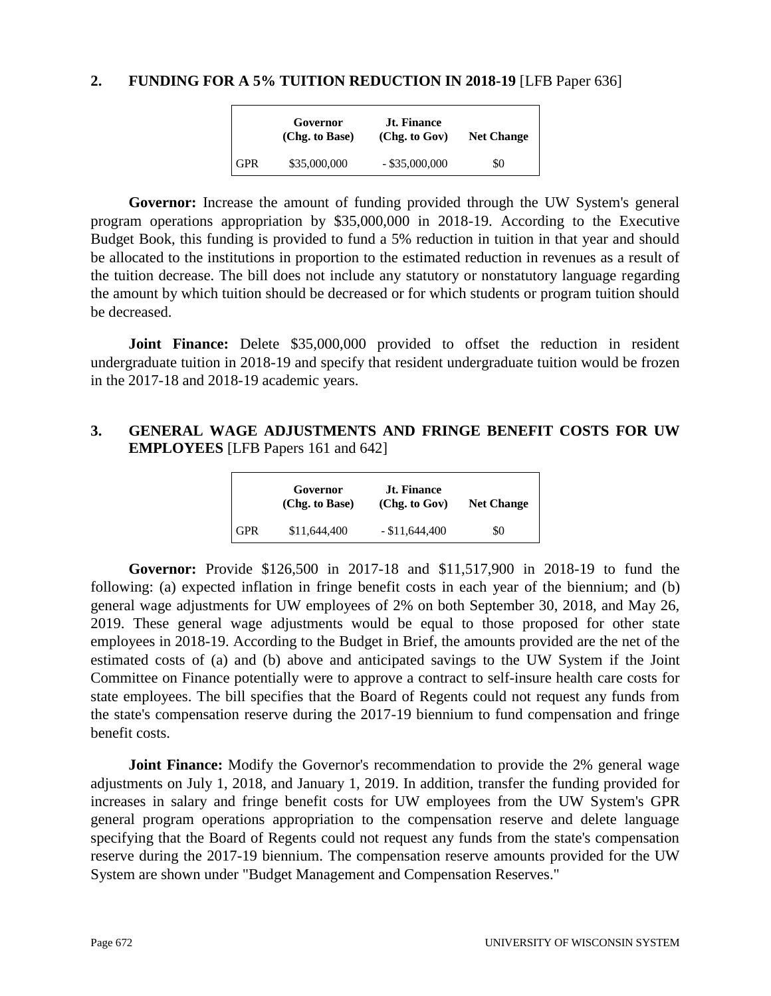#### **2. FUNDING FOR A 5% TUITION REDUCTION IN 2018-19** [LFB Paper 636]

|            | Governor<br>(Chg. to Base) | <b>Jt. Finance</b><br>(Chg. to Gov) | <b>Net Change</b> |
|------------|----------------------------|-------------------------------------|-------------------|
| <b>GPR</b> | \$35,000,000               | $-$ \$35,000,000                    | \$0               |

**Governor:** Increase the amount of funding provided through the UW System's general program operations appropriation by \$35,000,000 in 2018-19. According to the Executive Budget Book, this funding is provided to fund a 5% reduction in tuition in that year and should be allocated to the institutions in proportion to the estimated reduction in revenues as a result of the tuition decrease. The bill does not include any statutory or nonstatutory language regarding the amount by which tuition should be decreased or for which students or program tuition should be decreased.

**Joint Finance:** Delete \$35,000,000 provided to offset the reduction in resident undergraduate tuition in 2018-19 and specify that resident undergraduate tuition would be frozen in the 2017-18 and 2018-19 academic years.

#### **3. GENERAL WAGE ADJUSTMENTS AND FRINGE BENEFIT COSTS FOR UW EMPLOYEES** [LFB Papers 161 and 642]

|                              | Governor<br>(Chg. to Base) | <b>Jt. Finance</b><br>(Chg. to Gov) | <b>Net Change</b> |
|------------------------------|----------------------------|-------------------------------------|-------------------|
| $\overline{\phantom{a}}$ GPR | \$11,644,400               | $-$ \$11,644,400                    | \$0               |

**Governor:** Provide \$126,500 in 2017-18 and \$11,517,900 in 2018-19 to fund the following: (a) expected inflation in fringe benefit costs in each year of the biennium; and (b) general wage adjustments for UW employees of 2% on both September 30, 2018, and May 26, 2019. These general wage adjustments would be equal to those proposed for other state employees in 2018-19. According to the Budget in Brief, the amounts provided are the net of the estimated costs of (a) and (b) above and anticipated savings to the UW System if the Joint Committee on Finance potentially were to approve a contract to self-insure health care costs for state employees. The bill specifies that the Board of Regents could not request any funds from the state's compensation reserve during the 2017-19 biennium to fund compensation and fringe benefit costs.

**Joint Finance:** Modify the Governor's recommendation to provide the 2% general wage adjustments on July 1, 2018, and January 1, 2019. In addition, transfer the funding provided for increases in salary and fringe benefit costs for UW employees from the UW System's GPR general program operations appropriation to the compensation reserve and delete language specifying that the Board of Regents could not request any funds from the state's compensation reserve during the 2017-19 biennium. The compensation reserve amounts provided for the UW System are shown under "Budget Management and Compensation Reserves."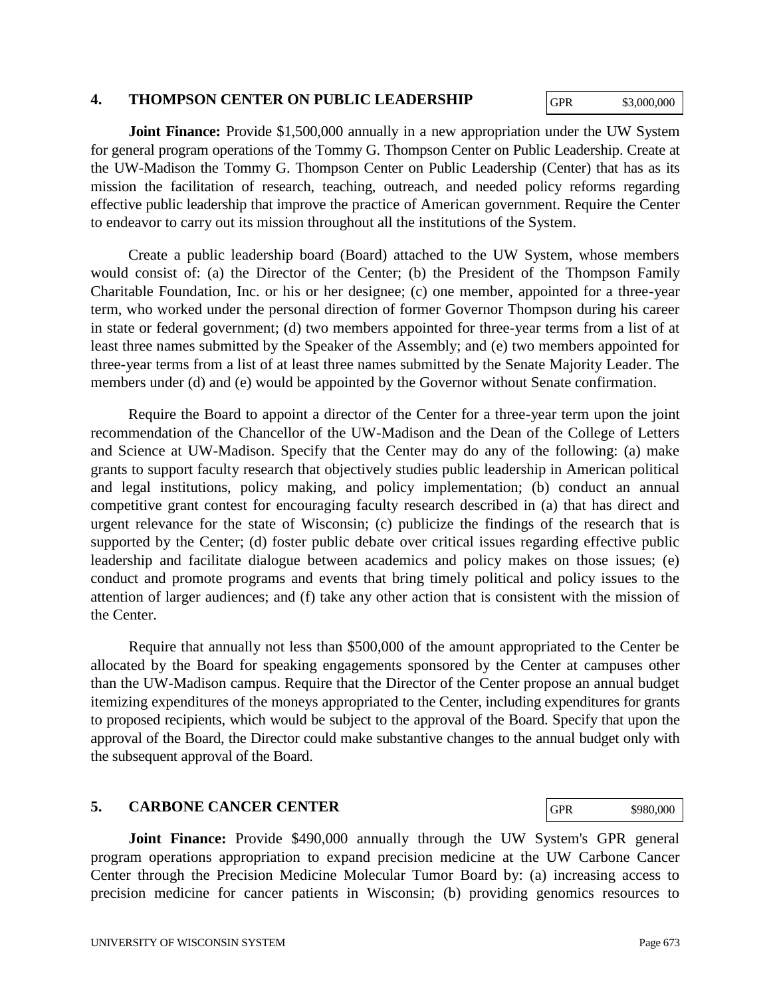#### **4. THOMPSON CENTER ON PUBLIC LEADERSHIP**

GPR \$3,000,000

**Joint Finance:** Provide \$1,500,000 annually in a new appropriation under the UW System for general program operations of the Tommy G. Thompson Center on Public Leadership. Create at the UW-Madison the Tommy G. Thompson Center on Public Leadership (Center) that has as its mission the facilitation of research, teaching, outreach, and needed policy reforms regarding effective public leadership that improve the practice of American government. Require the Center to endeavor to carry out its mission throughout all the institutions of the System.

Create a public leadership board (Board) attached to the UW System, whose members would consist of: (a) the Director of the Center; (b) the President of the Thompson Family Charitable Foundation, Inc. or his or her designee; (c) one member, appointed for a three-year term, who worked under the personal direction of former Governor Thompson during his career in state or federal government; (d) two members appointed for three-year terms from a list of at least three names submitted by the Speaker of the Assembly; and (e) two members appointed for three-year terms from a list of at least three names submitted by the Senate Majority Leader. The members under (d) and (e) would be appointed by the Governor without Senate confirmation.

Require the Board to appoint a director of the Center for a three-year term upon the joint recommendation of the Chancellor of the UW-Madison and the Dean of the College of Letters and Science at UW-Madison. Specify that the Center may do any of the following: (a) make grants to support faculty research that objectively studies public leadership in American political and legal institutions, policy making, and policy implementation; (b) conduct an annual competitive grant contest for encouraging faculty research described in (a) that has direct and urgent relevance for the state of Wisconsin; (c) publicize the findings of the research that is supported by the Center; (d) foster public debate over critical issues regarding effective public leadership and facilitate dialogue between academics and policy makes on those issues; (e) conduct and promote programs and events that bring timely political and policy issues to the attention of larger audiences; and (f) take any other action that is consistent with the mission of the Center.

Require that annually not less than \$500,000 of the amount appropriated to the Center be allocated by the Board for speaking engagements sponsored by the Center at campuses other than the UW-Madison campus. Require that the Director of the Center propose an annual budget itemizing expenditures of the moneys appropriated to the Center, including expenditures for grants to proposed recipients, which would be subject to the approval of the Board. Specify that upon the approval of the Board, the Director could make substantive changes to the annual budget only with the subsequent approval of the Board.

#### **5. CARBONE CANCER CENTER**

GPR \$980,000

**Joint Finance:** Provide \$490,000 annually through the UW System's GPR general program operations appropriation to expand precision medicine at the UW Carbone Cancer Center through the Precision Medicine Molecular Tumor Board by: (a) increasing access to precision medicine for cancer patients in Wisconsin; (b) providing genomics resources to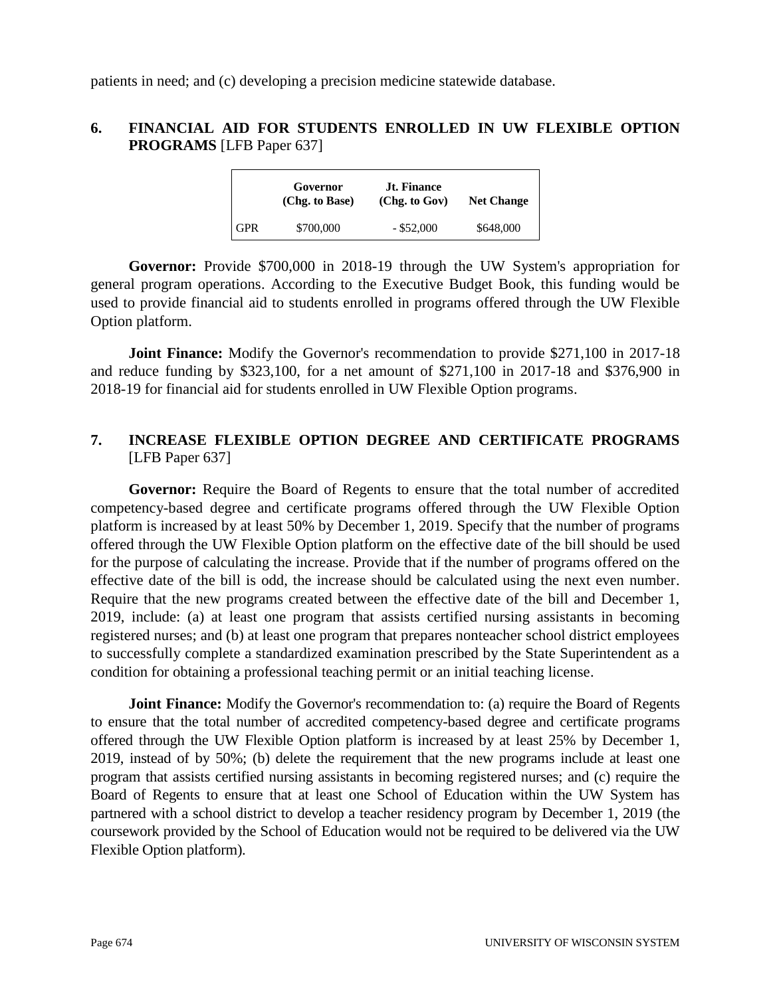patients in need; and (c) developing a precision medicine statewide database.

## **6. FINANCIAL AID FOR STUDENTS ENROLLED IN UW FLEXIBLE OPTION PROGRAMS** [LFB Paper 637]

|            | Governor<br>(Chg. to Base) | <b>Jt. Finance</b><br>(Chg. to Gov) | <b>Net Change</b> |
|------------|----------------------------|-------------------------------------|-------------------|
| <b>GPR</b> | \$700,000                  | $-$ \$52,000                        | \$648,000         |

**Governor:** Provide \$700,000 in 2018-19 through the UW System's appropriation for general program operations. According to the Executive Budget Book, this funding would be used to provide financial aid to students enrolled in programs offered through the UW Flexible Option platform.

**Joint Finance:** Modify the Governor's recommendation to provide \$271,100 in 2017-18 and reduce funding by \$323,100, for a net amount of \$271,100 in 2017-18 and \$376,900 in 2018-19 for financial aid for students enrolled in UW Flexible Option programs.

## **7. INCREASE FLEXIBLE OPTION DEGREE AND CERTIFICATE PROGRAMS** [LFB Paper 637]

**Governor:** Require the Board of Regents to ensure that the total number of accredited competency-based degree and certificate programs offered through the UW Flexible Option platform is increased by at least 50% by December 1, 2019. Specify that the number of programs offered through the UW Flexible Option platform on the effective date of the bill should be used for the purpose of calculating the increase. Provide that if the number of programs offered on the effective date of the bill is odd, the increase should be calculated using the next even number. Require that the new programs created between the effective date of the bill and December 1, 2019, include: (a) at least one program that assists certified nursing assistants in becoming registered nurses; and (b) at least one program that prepares nonteacher school district employees to successfully complete a standardized examination prescribed by the State Superintendent as a condition for obtaining a professional teaching permit or an initial teaching license.

**Joint Finance:** Modify the Governor's recommendation to: (a) require the Board of Regents to ensure that the total number of accredited competency-based degree and certificate programs offered through the UW Flexible Option platform is increased by at least 25% by December 1, 2019, instead of by 50%; (b) delete the requirement that the new programs include at least one program that assists certified nursing assistants in becoming registered nurses; and (c) require the Board of Regents to ensure that at least one School of Education within the UW System has partnered with a school district to develop a teacher residency program by December 1, 2019 (the coursework provided by the School of Education would not be required to be delivered via the UW Flexible Option platform).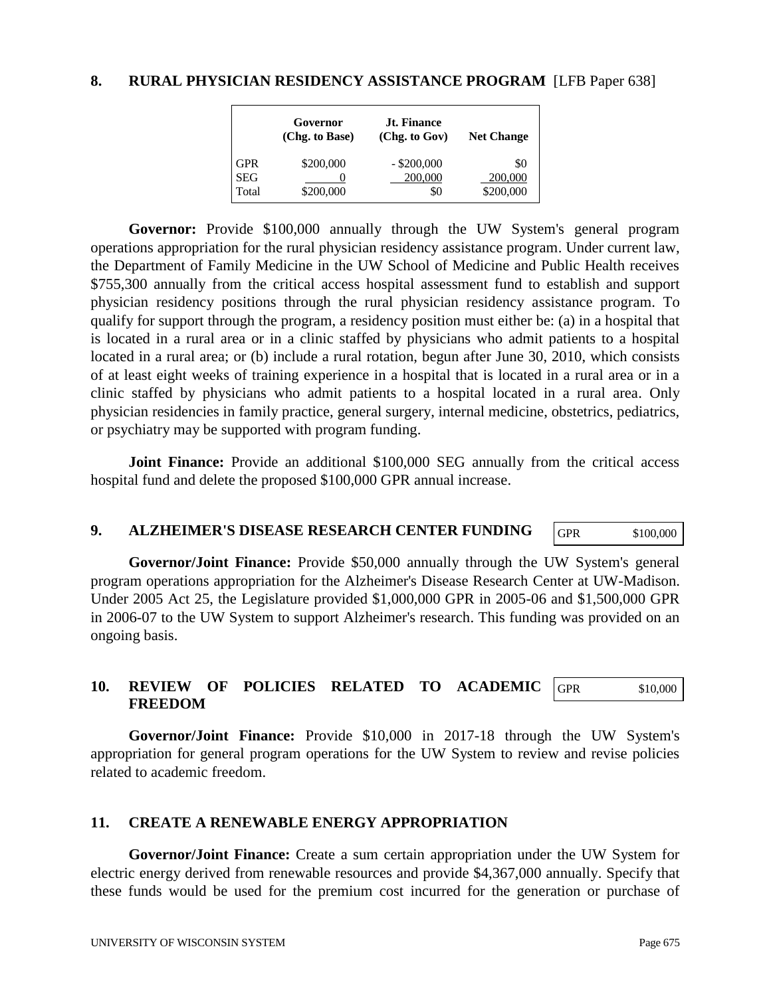#### **8. RURAL PHYSICIAN RESIDENCY ASSISTANCE PROGRAM** [LFB Paper 638]

|            | Governor<br>(Chg. to Base) | Jt. Finance<br>(Chg. to Gov) | <b>Net Change</b> |
|------------|----------------------------|------------------------------|-------------------|
| <b>GPR</b> | \$200,000                  | $-$ \$200,000                | \$0               |
| <b>SEG</b> |                            | 200,000                      | 200,000           |
| Total      | \$200,000                  | \$0                          | \$200,000         |

**Governor:** Provide \$100,000 annually through the UW System's general program operations appropriation for the rural physician residency assistance program. Under current law, the Department of Family Medicine in the UW School of Medicine and Public Health receives \$755,300 annually from the critical access hospital assessment fund to establish and support physician residency positions through the rural physician residency assistance program. To qualify for support through the program, a residency position must either be: (a) in a hospital that is located in a rural area or in a clinic staffed by physicians who admit patients to a hospital located in a rural area; or (b) include a rural rotation, begun after June 30, 2010, which consists of at least eight weeks of training experience in a hospital that is located in a rural area or in a clinic staffed by physicians who admit patients to a hospital located in a rural area. Only physician residencies in family practice, general surgery, internal medicine, obstetrics, pediatrics, or psychiatry may be supported with program funding.

**Joint Finance:** Provide an additional \$100,000 SEG annually from the critical access hospital fund and delete the proposed \$100,000 GPR annual increase.

#### **9. ALZHEIMER'S DISEASE RESEARCH CENTER FUNDING**

GPR \$100,000

**Governor/Joint Finance:** Provide \$50,000 annually through the UW System's general program operations appropriation for the Alzheimer's Disease Research Center at UW-Madison. Under 2005 Act 25, the Legislature provided \$1,000,000 GPR in 2005-06 and \$1,500,000 GPR in 2006-07 to the UW System to support Alzheimer's research. This funding was provided on an ongoing basis.

#### **10. REVIEW OF POLICIES RELATED TO ACADEMIC FREEDOM** GPR \$10,000

**Governor/Joint Finance:** Provide \$10,000 in 2017-18 through the UW System's appropriation for general program operations for the UW System to review and revise policies related to academic freedom.

#### **11. CREATE A RENEWABLE ENERGY APPROPRIATION**

**Governor/Joint Finance:** Create a sum certain appropriation under the UW System for electric energy derived from renewable resources and provide \$4,367,000 annually. Specify that these funds would be used for the premium cost incurred for the generation or purchase of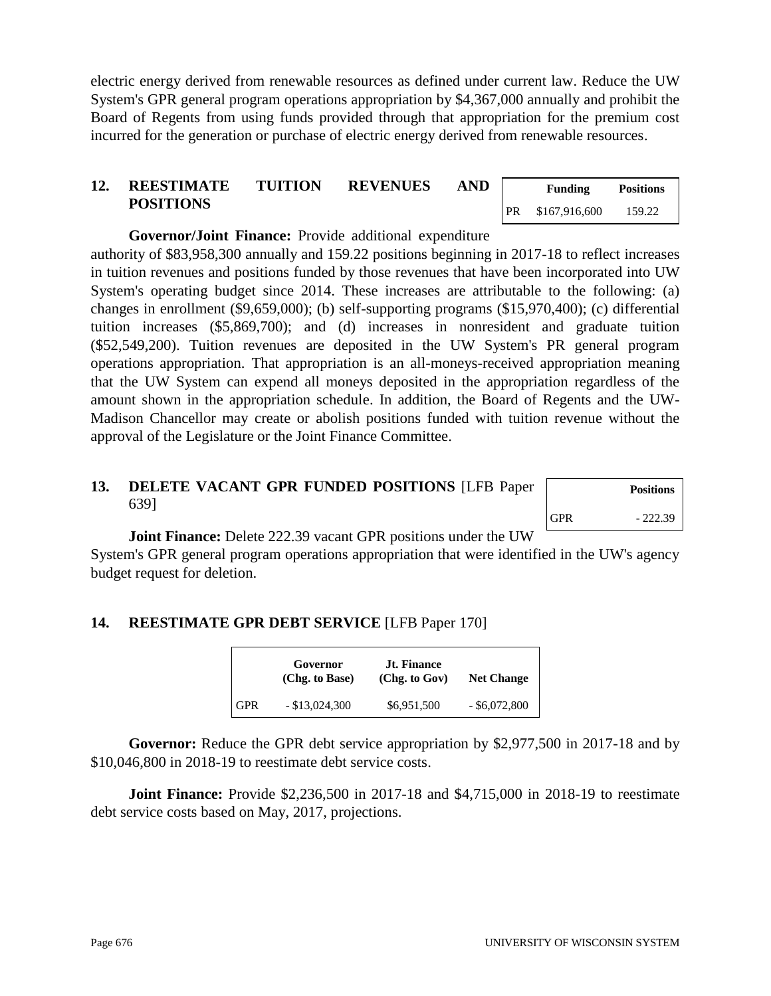electric energy derived from renewable resources as defined under current law. Reduce the UW System's GPR general program operations appropriation by \$4,367,000 annually and prohibit the Board of Regents from using funds provided through that appropriation for the premium cost incurred for the generation or purchase of electric energy derived from renewable resources.

# **12. REESTIMATE TUITION REVENUES AND POSITIONS**

**Governor/Joint Finance:** Provide additional expenditure

authority of \$83,958,300 annually and 159.22 positions beginning in 2017-18 to reflect increases in tuition revenues and positions funded by those revenues that have been incorporated into UW System's operating budget since 2014. These increases are attributable to the following: (a) changes in enrollment (\$9,659,000); (b) self-supporting programs (\$15,970,400); (c) differential tuition increases (\$5,869,700); and (d) increases in nonresident and graduate tuition (\$52,549,200). Tuition revenues are deposited in the UW System's PR general program operations appropriation. That appropriation is an all-moneys-received appropriation meaning that the UW System can expend all moneys deposited in the appropriation regardless of the amount shown in the appropriation schedule. In addition, the Board of Regents and the UW-Madison Chancellor may create or abolish positions funded with tuition revenue without the approval of the Legislature or the Joint Finance Committee.

# **13. DELETE VACANT GPR FUNDED POSITIONS** [LFB Paper 639]

**Joint Finance:** Delete 222.39 vacant GPR positions under the UW

System's GPR general program operations appropriation that were identified in the UW's agency budget request for deletion.

# **14. REESTIMATE GPR DEBT SERVICE** [LFB Paper 170]

Г

|     | Governor<br>(Chg. to Base) | Jt. Finance<br>(Chg. to Gov) | <b>Net Change</b> |
|-----|----------------------------|------------------------------|-------------------|
| GPR | $-$ \$13,024,300           | \$6,951,500                  | $-$ \$6,072,800   |

**Governor:** Reduce the GPR debt service appropriation by \$2,977,500 in 2017-18 and by \$10,046,800 in 2018-19 to reestimate debt service costs.

**Joint Finance:** Provide \$2,236,500 in 2017-18 and \$4,715,000 in 2018-19 to reestimate debt service costs based on May, 2017, projections.

|            | <b>Positions</b> |
|------------|------------------|
| <b>GPR</b> | $-222.39$        |

|    | <b>Funding</b> | <b>Positions</b> |
|----|----------------|------------------|
| PR | \$167,916,600  | 159.22           |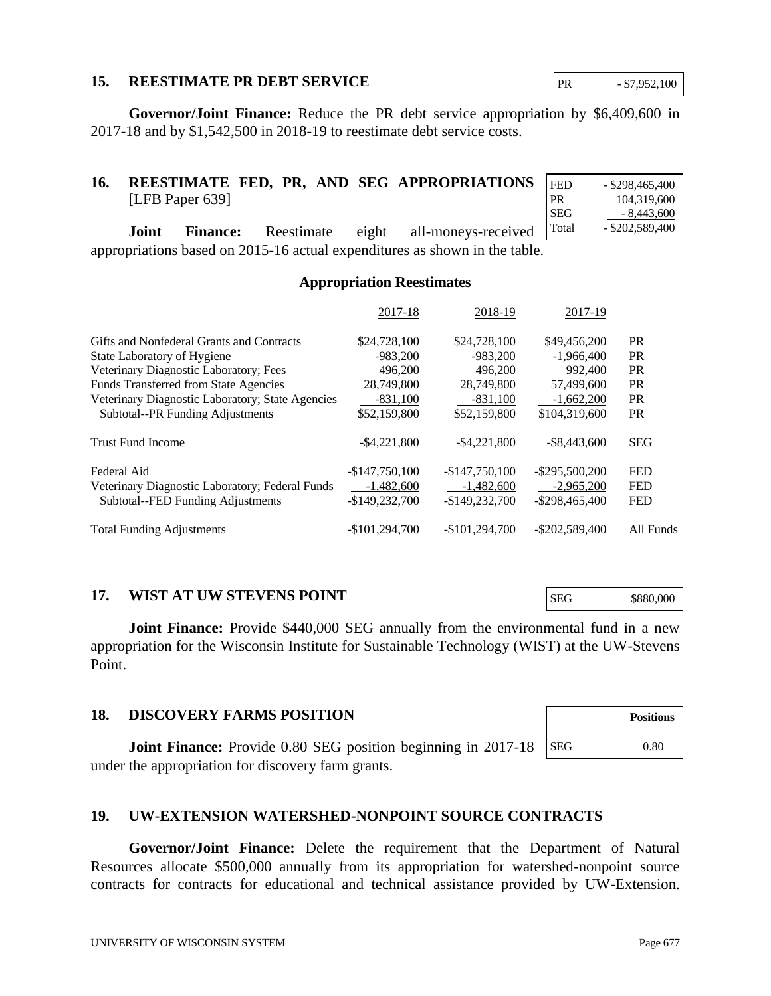#### **15. REESTIMATE PR DEBT SERVICE**

**Governor/Joint Finance:** Reduce the PR debt service appropriation by \$6,409,600 in 2017-18 and by \$1,542,500 in 2018-19 to reestimate debt service costs.

## **16. REESTIMATE FED, PR, AND SEG APPROPRIATIONS** [LFB Paper 639]

**Joint Finance:** Reestimate eight all-moneys-received appropriations based on 2015-16 actual expenditures as shown in the table. Total - \$202,589,400

#### **Appropriation Reestimates**

|                                                  | 2017-18         | 2018-19         | 2017-19           |            |
|--------------------------------------------------|-----------------|-----------------|-------------------|------------|
| Gifts and Nonfederal Grants and Contracts        | \$24,728,100    | \$24,728,100    | \$49,456,200      | <b>PR</b>  |
| State Laboratory of Hygiene                      | $-983.200$      | $-983.200$      | $-1.966,400$      | <b>PR</b>  |
| Veterinary Diagnostic Laboratory; Fees           | 496,200         | 496,200         | 992,400           | <b>PR</b>  |
| <b>Funds Transferred from State Agencies</b>     | 28,749,800      | 28,749,800      | 57,499,600        | <b>PR</b>  |
| Veterinary Diagnostic Laboratory; State Agencies | $-831,100$      | $-831,100$      | $-1,662,200$      | <b>PR</b>  |
| Subtotal--PR Funding Adjustments                 | \$52,159,800    | \$52,159,800    | \$104,319,600     | <b>PR</b>  |
| <b>Trust Fund Income</b>                         | $-$ \$4,221,800 | $-$ \$4,221,800 | $-$ \$8,443,600   | <b>SEG</b> |
| Federal Aid                                      | $-$147,750,100$ | $-$147,750,100$ | $-$ \$295,500,200 | <b>FED</b> |
| Veterinary Diagnostic Laboratory; Federal Funds  | $-1,482,600$    | $-1,482,600$    | $-2.965,200$      | <b>FED</b> |
| Subtotal--FED Funding Adjustments                | $-$149,232,700$ | $-$149,232,700$ | $-$ \$298,465,400 | <b>FED</b> |
| <b>Total Funding Adjustments</b>                 | $-$101.294.700$ | $-$101.294.700$ | $-$ \$202,589,400 | All Funds  |

#### **17. WIST AT UW STEVENS POINT**

**Joint Finance:** Provide \$440,000 SEG annually from the environmental fund in a new appropriation for the Wisconsin Institute for Sustainable Technology (WIST) at the UW-Stevens Point.

#### **18. DISCOVERY FARMS POSITION**

**Joint Finance:** Provide 0.80 SEG position beginning in 2017-18 under the appropriation for discovery farm grants.

## **19. UW-EXTENSION WATERSHED-NONPOINT SOURCE CONTRACTS**

**Governor/Joint Finance:** Delete the requirement that the Department of Natural Resources allocate \$500,000 annually from its appropriation for watershed-nonpoint source contracts for contracts for educational and technical assistance provided by UW-Extension.

PR - \$7,952,100

FED - \$298,465,400 PR 104,319,600 SEG  $-8,443,600$ 

SEG \$880,000

SEG 0.80

**Positions**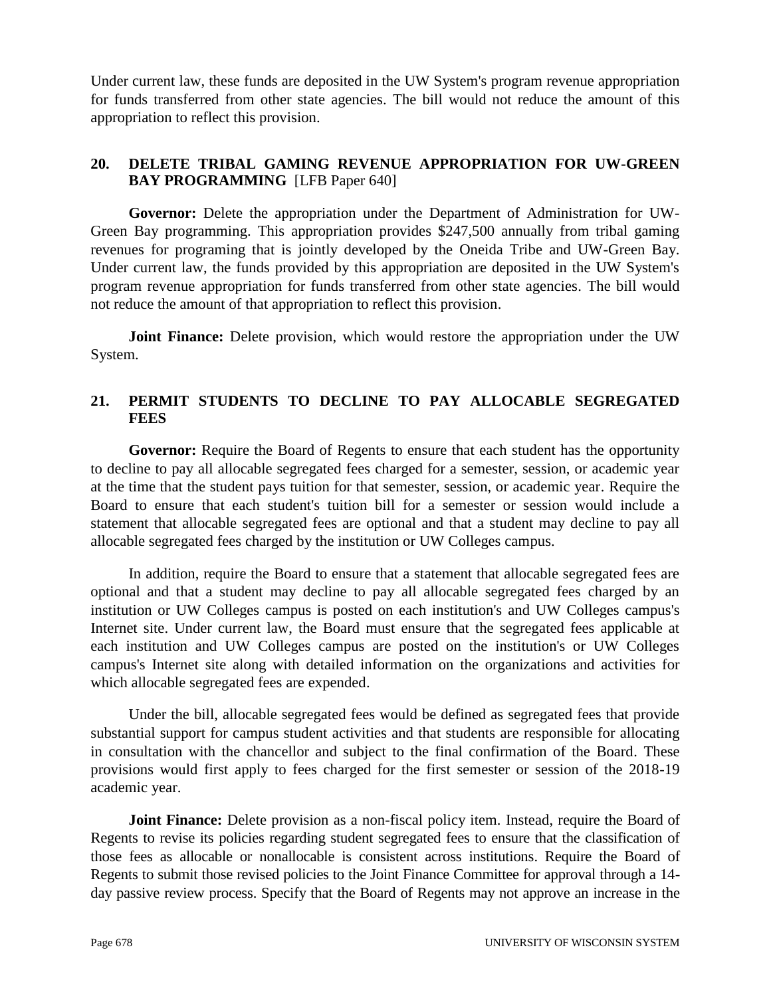Under current law, these funds are deposited in the UW System's program revenue appropriation for funds transferred from other state agencies. The bill would not reduce the amount of this appropriation to reflect this provision.

## **20. DELETE TRIBAL GAMING REVENUE APPROPRIATION FOR UW-GREEN BAY PROGRAMMING** [LFB Paper 640]

**Governor:** Delete the appropriation under the Department of Administration for UW-Green Bay programming. This appropriation provides \$247,500 annually from tribal gaming revenues for programing that is jointly developed by the Oneida Tribe and UW-Green Bay. Under current law, the funds provided by this appropriation are deposited in the UW System's program revenue appropriation for funds transferred from other state agencies. The bill would not reduce the amount of that appropriation to reflect this provision.

**Joint Finance:** Delete provision, which would restore the appropriation under the UW System.

## **21. PERMIT STUDENTS TO DECLINE TO PAY ALLOCABLE SEGREGATED FEES**

**Governor:** Require the Board of Regents to ensure that each student has the opportunity to decline to pay all allocable segregated fees charged for a semester, session, or academic year at the time that the student pays tuition for that semester, session, or academic year. Require the Board to ensure that each student's tuition bill for a semester or session would include a statement that allocable segregated fees are optional and that a student may decline to pay all allocable segregated fees charged by the institution or UW Colleges campus.

In addition, require the Board to ensure that a statement that allocable segregated fees are optional and that a student may decline to pay all allocable segregated fees charged by an institution or UW Colleges campus is posted on each institution's and UW Colleges campus's Internet site. Under current law, the Board must ensure that the segregated fees applicable at each institution and UW Colleges campus are posted on the institution's or UW Colleges campus's Internet site along with detailed information on the organizations and activities for which allocable segregated fees are expended.

Under the bill, allocable segregated fees would be defined as segregated fees that provide substantial support for campus student activities and that students are responsible for allocating in consultation with the chancellor and subject to the final confirmation of the Board. These provisions would first apply to fees charged for the first semester or session of the 2018-19 academic year.

**Joint Finance:** Delete provision as a non-fiscal policy item. Instead, require the Board of Regents to revise its policies regarding student segregated fees to ensure that the classification of those fees as allocable or nonallocable is consistent across institutions. Require the Board of Regents to submit those revised policies to the Joint Finance Committee for approval through a 14 day passive review process. Specify that the Board of Regents may not approve an increase in the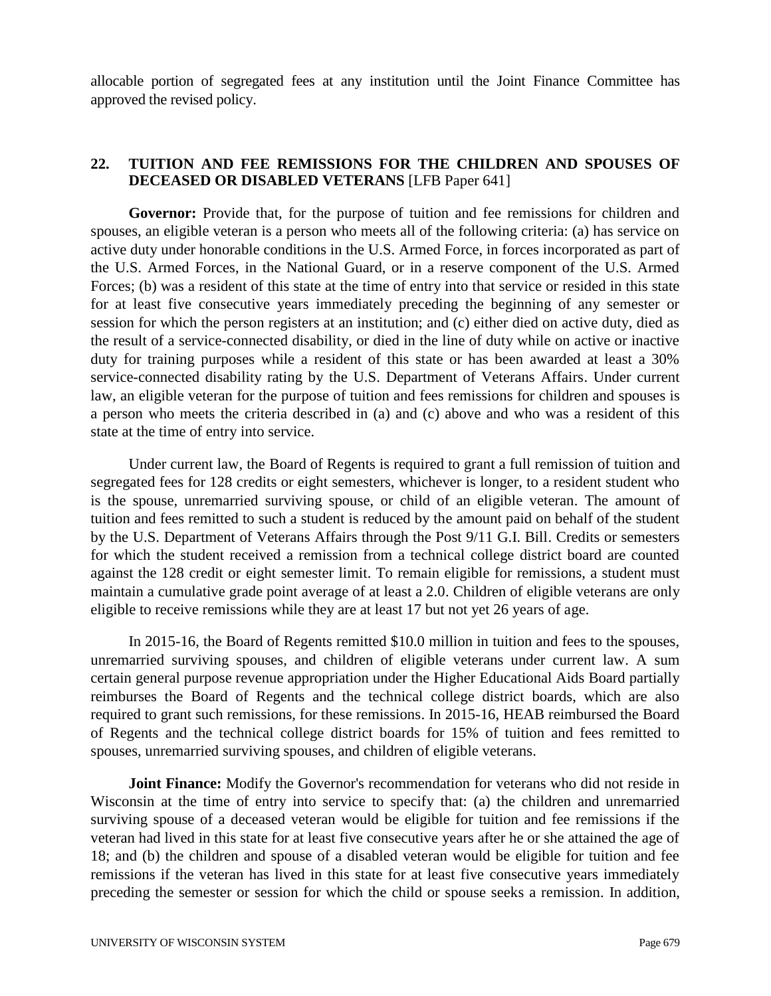allocable portion of segregated fees at any institution until the Joint Finance Committee has approved the revised policy.

#### **22. TUITION AND FEE REMISSIONS FOR THE CHILDREN AND SPOUSES OF DECEASED OR DISABLED VETERANS** [LFB Paper 641]

**Governor:** Provide that, for the purpose of tuition and fee remissions for children and spouses, an eligible veteran is a person who meets all of the following criteria: (a) has service on active duty under honorable conditions in the U.S. Armed Force, in forces incorporated as part of the U.S. Armed Forces, in the National Guard, or in a reserve component of the U.S. Armed Forces; (b) was a resident of this state at the time of entry into that service or resided in this state for at least five consecutive years immediately preceding the beginning of any semester or session for which the person registers at an institution; and (c) either died on active duty, died as the result of a service-connected disability, or died in the line of duty while on active or inactive duty for training purposes while a resident of this state or has been awarded at least a 30% service-connected disability rating by the U.S. Department of Veterans Affairs. Under current law, an eligible veteran for the purpose of tuition and fees remissions for children and spouses is a person who meets the criteria described in (a) and (c) above and who was a resident of this state at the time of entry into service.

Under current law, the Board of Regents is required to grant a full remission of tuition and segregated fees for 128 credits or eight semesters, whichever is longer, to a resident student who is the spouse, unremarried surviving spouse, or child of an eligible veteran. The amount of tuition and fees remitted to such a student is reduced by the amount paid on behalf of the student by the U.S. Department of Veterans Affairs through the Post 9/11 G.I. Bill. Credits or semesters for which the student received a remission from a technical college district board are counted against the 128 credit or eight semester limit. To remain eligible for remissions, a student must maintain a cumulative grade point average of at least a 2.0. Children of eligible veterans are only eligible to receive remissions while they are at least 17 but not yet 26 years of age.

In 2015-16, the Board of Regents remitted \$10.0 million in tuition and fees to the spouses, unremarried surviving spouses, and children of eligible veterans under current law. A sum certain general purpose revenue appropriation under the Higher Educational Aids Board partially reimburses the Board of Regents and the technical college district boards, which are also required to grant such remissions, for these remissions. In 2015-16, HEAB reimbursed the Board of Regents and the technical college district boards for 15% of tuition and fees remitted to spouses, unremarried surviving spouses, and children of eligible veterans.

**Joint Finance:** Modify the Governor's recommendation for veterans who did not reside in Wisconsin at the time of entry into service to specify that: (a) the children and unremarried surviving spouse of a deceased veteran would be eligible for tuition and fee remissions if the veteran had lived in this state for at least five consecutive years after he or she attained the age of 18; and (b) the children and spouse of a disabled veteran would be eligible for tuition and fee remissions if the veteran has lived in this state for at least five consecutive years immediately preceding the semester or session for which the child or spouse seeks a remission. In addition,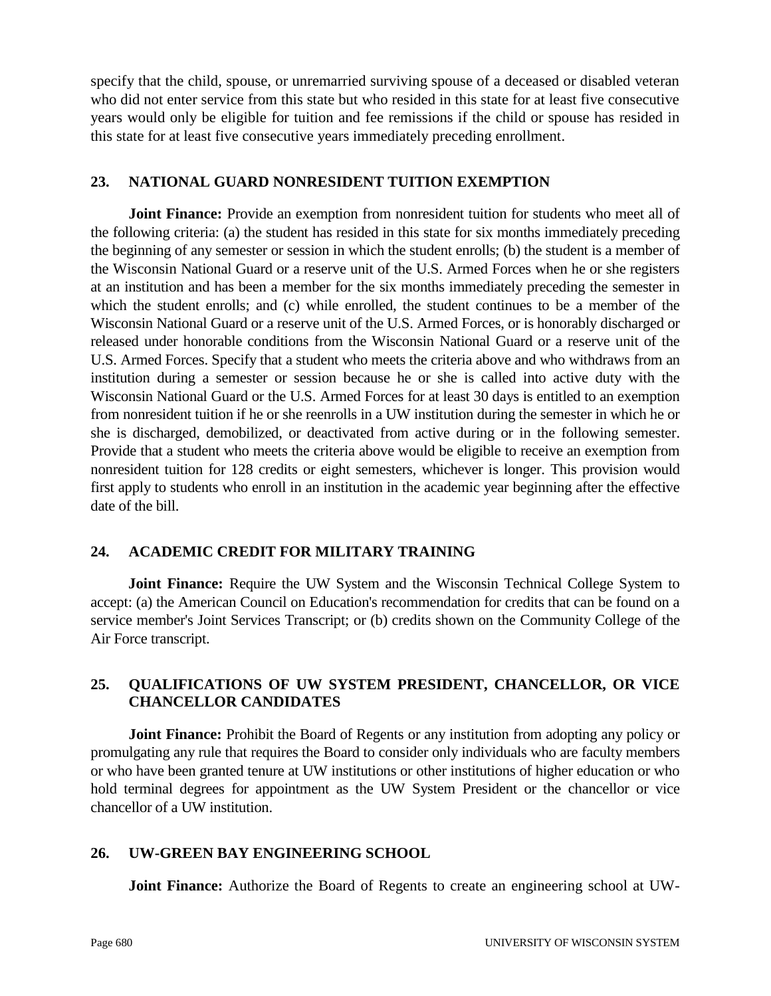specify that the child, spouse, or unremarried surviving spouse of a deceased or disabled veteran who did not enter service from this state but who resided in this state for at least five consecutive years would only be eligible for tuition and fee remissions if the child or spouse has resided in this state for at least five consecutive years immediately preceding enrollment.

#### **23. NATIONAL GUARD NONRESIDENT TUITION EXEMPTION**

**Joint Finance:** Provide an exemption from nonresident tuition for students who meet all of the following criteria: (a) the student has resided in this state for six months immediately preceding the beginning of any semester or session in which the student enrolls; (b) the student is a member of the Wisconsin National Guard or a reserve unit of the U.S. Armed Forces when he or she registers at an institution and has been a member for the six months immediately preceding the semester in which the student enrolls; and (c) while enrolled, the student continues to be a member of the Wisconsin National Guard or a reserve unit of the U.S. Armed Forces, or is honorably discharged or released under honorable conditions from the Wisconsin National Guard or a reserve unit of the U.S. Armed Forces. Specify that a student who meets the criteria above and who withdraws from an institution during a semester or session because he or she is called into active duty with the Wisconsin National Guard or the U.S. Armed Forces for at least 30 days is entitled to an exemption from nonresident tuition if he or she reenrolls in a UW institution during the semester in which he or she is discharged, demobilized, or deactivated from active during or in the following semester. Provide that a student who meets the criteria above would be eligible to receive an exemption from nonresident tuition for 128 credits or eight semesters, whichever is longer. This provision would first apply to students who enroll in an institution in the academic year beginning after the effective date of the bill.

## **24. ACADEMIC CREDIT FOR MILITARY TRAINING**

**Joint Finance:** Require the UW System and the Wisconsin Technical College System to accept: (a) the American Council on Education's recommendation for credits that can be found on a service member's Joint Services Transcript; or (b) credits shown on the Community College of the Air Force transcript.

# **25. QUALIFICATIONS OF UW SYSTEM PRESIDENT, CHANCELLOR, OR VICE CHANCELLOR CANDIDATES**

**Joint Finance:** Prohibit the Board of Regents or any institution from adopting any policy or promulgating any rule that requires the Board to consider only individuals who are faculty members or who have been granted tenure at UW institutions or other institutions of higher education or who hold terminal degrees for appointment as the UW System President or the chancellor or vice chancellor of a UW institution.

## **26. UW-GREEN BAY ENGINEERING SCHOOL**

**Joint Finance:** Authorize the Board of Regents to create an engineering school at UW-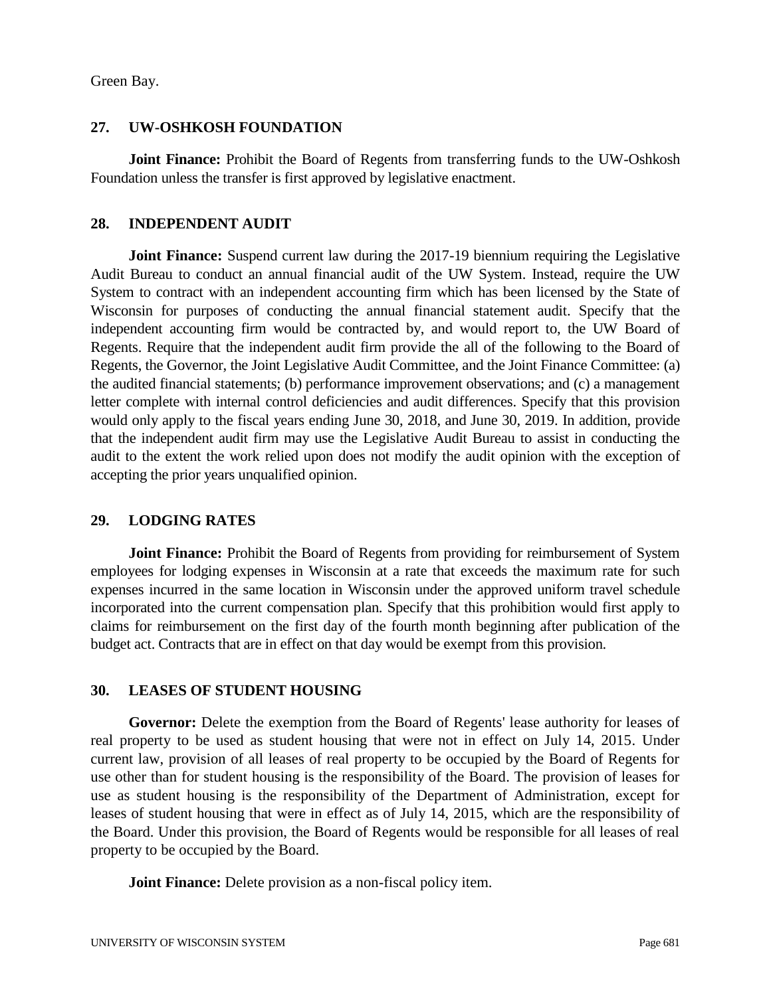Green Bay.

#### **27. UW-OSHKOSH FOUNDATION**

**Joint Finance:** Prohibit the Board of Regents from transferring funds to the UW-Oshkosh Foundation unless the transfer is first approved by legislative enactment.

#### **28. INDEPENDENT AUDIT**

**Joint Finance:** Suspend current law during the 2017-19 biennium requiring the Legislative Audit Bureau to conduct an annual financial audit of the UW System. Instead, require the UW System to contract with an independent accounting firm which has been licensed by the State of Wisconsin for purposes of conducting the annual financial statement audit. Specify that the independent accounting firm would be contracted by, and would report to, the UW Board of Regents. Require that the independent audit firm provide the all of the following to the Board of Regents, the Governor, the Joint Legislative Audit Committee, and the Joint Finance Committee: (a) the audited financial statements; (b) performance improvement observations; and (c) a management letter complete with internal control deficiencies and audit differences. Specify that this provision would only apply to the fiscal years ending June 30, 2018, and June 30, 2019. In addition, provide that the independent audit firm may use the Legislative Audit Bureau to assist in conducting the audit to the extent the work relied upon does not modify the audit opinion with the exception of accepting the prior years unqualified opinion.

## **29. LODGING RATES**

**Joint Finance:** Prohibit the Board of Regents from providing for reimbursement of System employees for lodging expenses in Wisconsin at a rate that exceeds the maximum rate for such expenses incurred in the same location in Wisconsin under the approved uniform travel schedule incorporated into the current compensation plan. Specify that this prohibition would first apply to claims for reimbursement on the first day of the fourth month beginning after publication of the budget act. Contracts that are in effect on that day would be exempt from this provision.

## **30. LEASES OF STUDENT HOUSING**

**Governor:** Delete the exemption from the Board of Regents' lease authority for leases of real property to be used as student housing that were not in effect on July 14, 2015. Under current law, provision of all leases of real property to be occupied by the Board of Regents for use other than for student housing is the responsibility of the Board. The provision of leases for use as student housing is the responsibility of the Department of Administration, except for leases of student housing that were in effect as of July 14, 2015, which are the responsibility of the Board. Under this provision, the Board of Regents would be responsible for all leases of real property to be occupied by the Board.

**Joint Finance:** Delete provision as a non-fiscal policy item.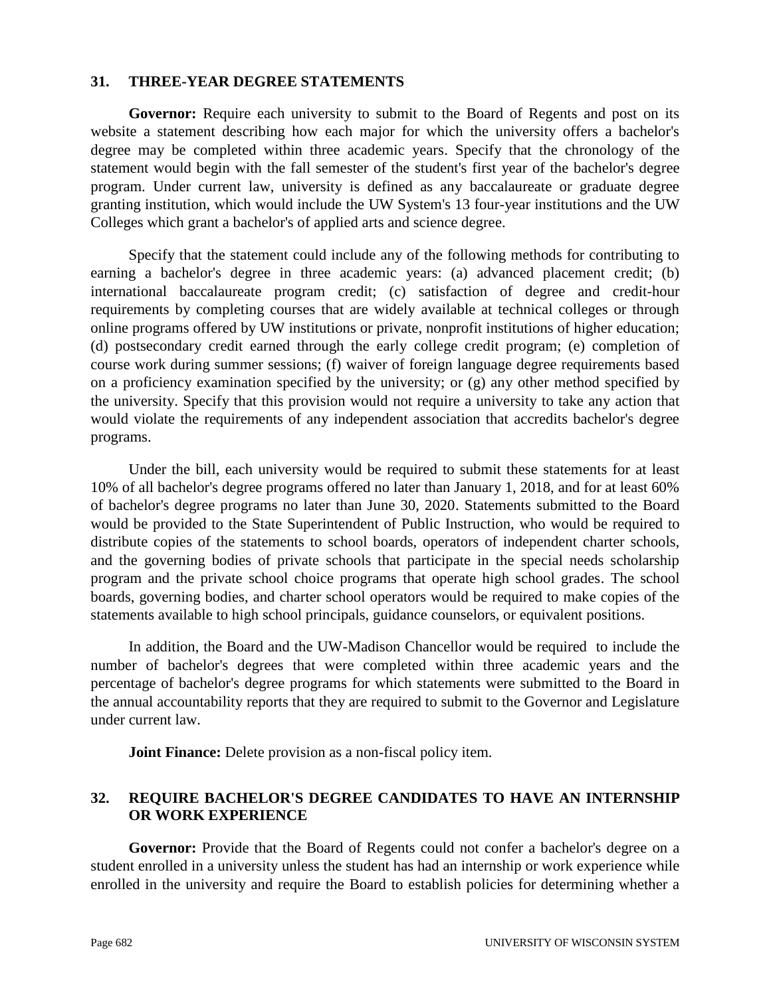#### **31. THREE-YEAR DEGREE STATEMENTS**

**Governor:** Require each university to submit to the Board of Regents and post on its website a statement describing how each major for which the university offers a bachelor's degree may be completed within three academic years. Specify that the chronology of the statement would begin with the fall semester of the student's first year of the bachelor's degree program. Under current law, university is defined as any baccalaureate or graduate degree granting institution, which would include the UW System's 13 four-year institutions and the UW Colleges which grant a bachelor's of applied arts and science degree.

Specify that the statement could include any of the following methods for contributing to earning a bachelor's degree in three academic years: (a) advanced placement credit; (b) international baccalaureate program credit; (c) satisfaction of degree and credit-hour requirements by completing courses that are widely available at technical colleges or through online programs offered by UW institutions or private, nonprofit institutions of higher education; (d) postsecondary credit earned through the early college credit program; (e) completion of course work during summer sessions; (f) waiver of foreign language degree requirements based on a proficiency examination specified by the university; or (g) any other method specified by the university. Specify that this provision would not require a university to take any action that would violate the requirements of any independent association that accredits bachelor's degree programs.

 Under the bill, each university would be required to submit these statements for at least 10% of all bachelor's degree programs offered no later than January 1, 2018, and for at least 60% of bachelor's degree programs no later than June 30, 2020. Statements submitted to the Board would be provided to the State Superintendent of Public Instruction, who would be required to distribute copies of the statements to school boards, operators of independent charter schools, and the governing bodies of private schools that participate in the special needs scholarship program and the private school choice programs that operate high school grades. The school boards, governing bodies, and charter school operators would be required to make copies of the statements available to high school principals, guidance counselors, or equivalent positions.

In addition, the Board and the UW-Madison Chancellor would be required to include the number of bachelor's degrees that were completed within three academic years and the percentage of bachelor's degree programs for which statements were submitted to the Board in the annual accountability reports that they are required to submit to the Governor and Legislature under current law.

**Joint Finance:** Delete provision as a non-fiscal policy item.

## **32. REQUIRE BACHELOR'S DEGREE CANDIDATES TO HAVE AN INTERNSHIP OR WORK EXPERIENCE**

Governor: Provide that the Board of Regents could not confer a bachelor's degree on a student enrolled in a university unless the student has had an internship or work experience while enrolled in the university and require the Board to establish policies for determining whether a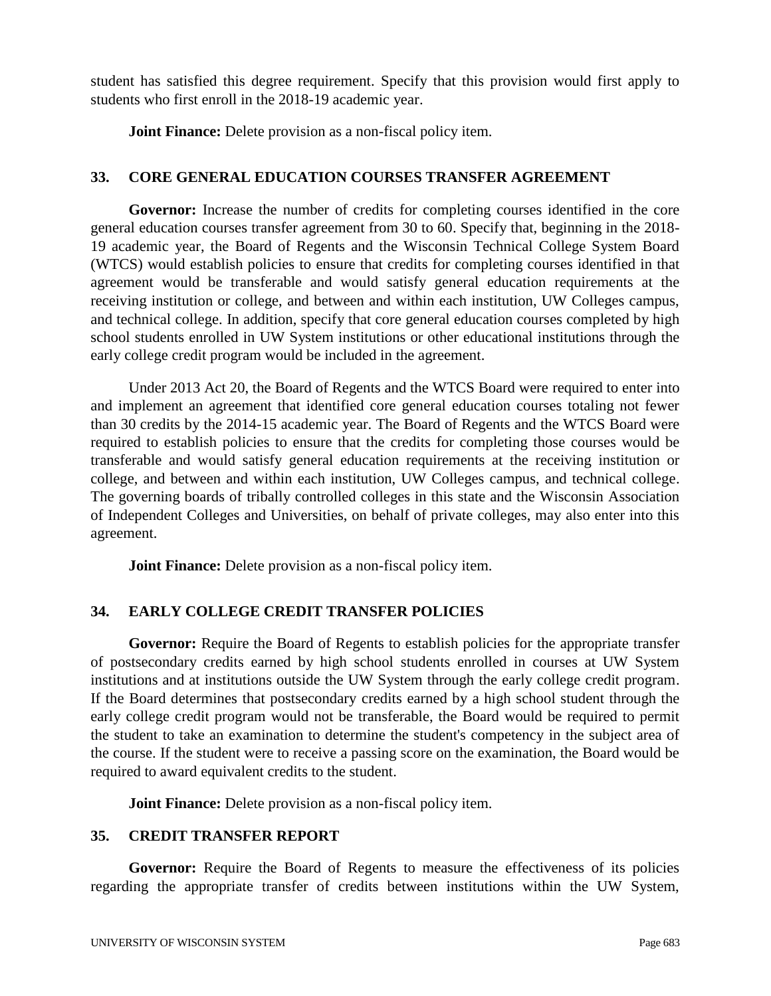student has satisfied this degree requirement. Specify that this provision would first apply to students who first enroll in the 2018-19 academic year.

**Joint Finance:** Delete provision as a non-fiscal policy item.

#### **33. CORE GENERAL EDUCATION COURSES TRANSFER AGREEMENT**

**Governor:** Increase the number of credits for completing courses identified in the core general education courses transfer agreement from 30 to 60. Specify that, beginning in the 2018- 19 academic year, the Board of Regents and the Wisconsin Technical College System Board (WTCS) would establish policies to ensure that credits for completing courses identified in that agreement would be transferable and would satisfy general education requirements at the receiving institution or college, and between and within each institution, UW Colleges campus, and technical college. In addition, specify that core general education courses completed by high school students enrolled in UW System institutions or other educational institutions through the early college credit program would be included in the agreement.

Under 2013 Act 20, the Board of Regents and the WTCS Board were required to enter into and implement an agreement that identified core general education courses totaling not fewer than 30 credits by the 2014-15 academic year. The Board of Regents and the WTCS Board were required to establish policies to ensure that the credits for completing those courses would be transferable and would satisfy general education requirements at the receiving institution or college, and between and within each institution, UW Colleges campus, and technical college. The governing boards of tribally controlled colleges in this state and the Wisconsin Association of Independent Colleges and Universities, on behalf of private colleges, may also enter into this agreement.

**Joint Finance:** Delete provision as a non-fiscal policy item.

## **34. EARLY COLLEGE CREDIT TRANSFER POLICIES**

**Governor:** Require the Board of Regents to establish policies for the appropriate transfer of postsecondary credits earned by high school students enrolled in courses at UW System institutions and at institutions outside the UW System through the early college credit program. If the Board determines that postsecondary credits earned by a high school student through the early college credit program would not be transferable, the Board would be required to permit the student to take an examination to determine the student's competency in the subject area of the course. If the student were to receive a passing score on the examination, the Board would be required to award equivalent credits to the student.

**Joint Finance:** Delete provision as a non-fiscal policy item.

## **35. CREDIT TRANSFER REPORT**

Governor: Require the Board of Regents to measure the effectiveness of its policies regarding the appropriate transfer of credits between institutions within the UW System,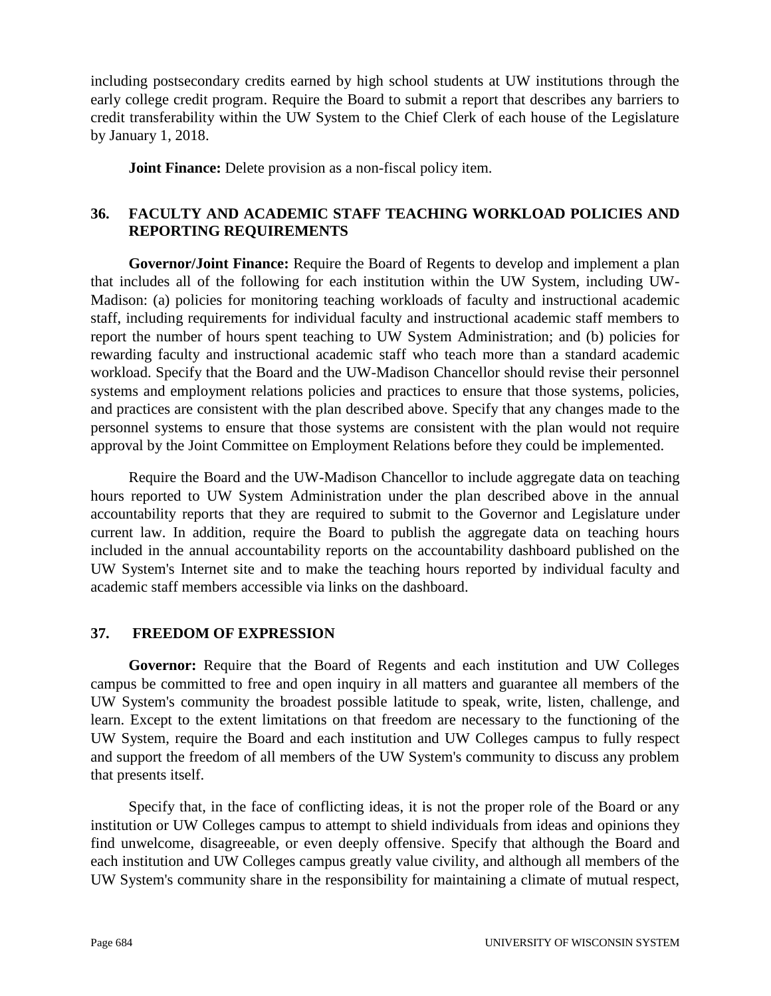including postsecondary credits earned by high school students at UW institutions through the early college credit program. Require the Board to submit a report that describes any barriers to credit transferability within the UW System to the Chief Clerk of each house of the Legislature by January 1, 2018.

**Joint Finance:** Delete provision as a non-fiscal policy item.

# **36. FACULTY AND ACADEMIC STAFF TEACHING WORKLOAD POLICIES AND REPORTING REQUIREMENTS**

**Governor/Joint Finance:** Require the Board of Regents to develop and implement a plan that includes all of the following for each institution within the UW System, including UW-Madison: (a) policies for monitoring teaching workloads of faculty and instructional academic staff, including requirements for individual faculty and instructional academic staff members to report the number of hours spent teaching to UW System Administration; and (b) policies for rewarding faculty and instructional academic staff who teach more than a standard academic workload. Specify that the Board and the UW-Madison Chancellor should revise their personnel systems and employment relations policies and practices to ensure that those systems, policies, and practices are consistent with the plan described above. Specify that any changes made to the personnel systems to ensure that those systems are consistent with the plan would not require approval by the Joint Committee on Employment Relations before they could be implemented.

Require the Board and the UW-Madison Chancellor to include aggregate data on teaching hours reported to UW System Administration under the plan described above in the annual accountability reports that they are required to submit to the Governor and Legislature under current law. In addition, require the Board to publish the aggregate data on teaching hours included in the annual accountability reports on the accountability dashboard published on the UW System's Internet site and to make the teaching hours reported by individual faculty and academic staff members accessible via links on the dashboard.

## **37. FREEDOM OF EXPRESSION**

**Governor:** Require that the Board of Regents and each institution and UW Colleges campus be committed to free and open inquiry in all matters and guarantee all members of the UW System's community the broadest possible latitude to speak, write, listen, challenge, and learn. Except to the extent limitations on that freedom are necessary to the functioning of the UW System, require the Board and each institution and UW Colleges campus to fully respect and support the freedom of all members of the UW System's community to discuss any problem that presents itself.

Specify that, in the face of conflicting ideas, it is not the proper role of the Board or any institution or UW Colleges campus to attempt to shield individuals from ideas and opinions they find unwelcome, disagreeable, or even deeply offensive. Specify that although the Board and each institution and UW Colleges campus greatly value civility, and although all members of the UW System's community share in the responsibility for maintaining a climate of mutual respect,